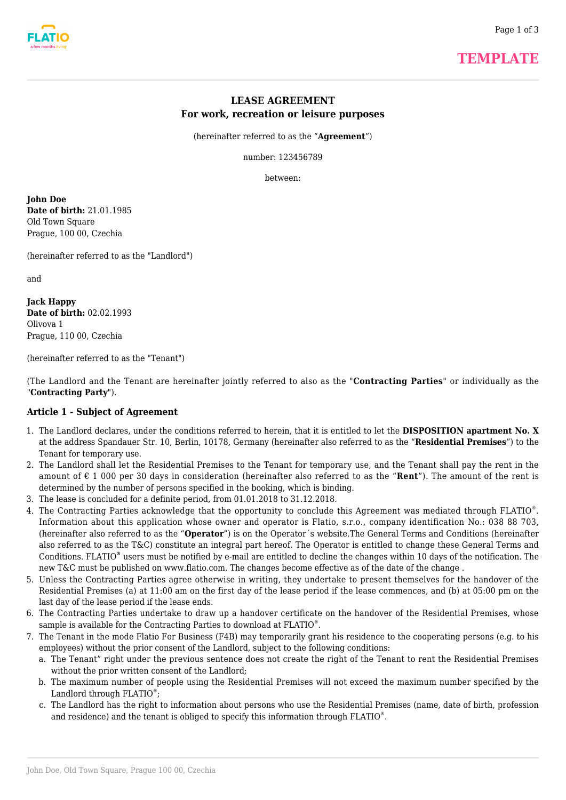# **LEASE AGREEMENT For work, recreation or leisure purposes**

(hereinafter referred to as the "**Agreement**")

number: 123456789

between:

**John Doe Date of birth:** 21.01.1985 Old Town Square Prague, 100 00, Czechia

(hereinafter referred to as the "Landlord")

and

**Jack Happy Date of birth:** 02.02.1993 Olivova 1 Prague, 110 00, Czechia

(hereinafter referred to as the "Tenant")

(The Landlord and the Tenant are hereinafter jointly referred to also as the "**Contracting Parties**" or individually as the "**Contracting Party**").

### **Article 1 - Subject of Agreement**

- 1. The Landlord declares, under the conditions referred to herein, that it is entitled to let the **DISPOSITION apartment No. X** at the address Spandauer Str. 10, Berlin, 10178, Germany (hereinafter also referred to as the "**Residential Premises**") to the Tenant for temporary use.
- 2. The Landlord shall let the Residential Premises to the Tenant for temporary use, and the Tenant shall pay the rent in the amount of € 1 000 per 30 days in consideration (hereinafter also referred to as the "**Rent**"). The amount of the rent is determined by the number of persons specified in the booking, which is binding.
- 3. The lease is concluded for a definite period, from 01.01.2018 to 31.12.2018.
- 4. The Contracting Parties acknowledge that the opportunity to conclude this Agreement was mediated through FLATIO®. Information about this application whose owner and operator is Flatio, s.r.o., company identification No.: 038 88 703, (hereinafter also referred to as the "**Operator**") is on the Operator´s website.The General Terms and Conditions (hereinafter also referred to as the T&C) constitute an integral part hereof. The Operator is entitled to change these General Terms and Conditions. FLATIO<sup>®</sup> users must be notified by e-mail are entitled to decline the changes within 10 days of the notification. The new T&C must be published on www.flatio.com. The changes become effective as of the date of the change .
- 5. Unless the Contracting Parties agree otherwise in writing, they undertake to present themselves for the handover of the Residential Premises (a) at 11:00 am on the first day of the lease period if the lease commences, and (b) at 05:00 pm on the last day of the lease period if the lease ends.
- 6. The Contracting Parties undertake to draw up a handover certificate on the handover of the Residential Premises, whose sample is available for the Contracting Parties to download at FLATIO® .
- 7. The Tenant in the mode Flatio For Business (F4B) may temporarily grant his residence to the cooperating persons (e.g. to his employees) without the prior consent of the Landlord, subject to the following conditions:
	- a. The Tenant" right under the previous sentence does not create the right of the Tenant to rent the Residential Premises without the prior written consent of the Landlord;
	- b. The maximum number of people using the Residential Premises will not exceed the maximum number specified by the Landlord through  $FLATIO$ <sup>®</sup>;
	- c. The Landlord has the right to information about persons who use the Residential Premises (name, date of birth, profession and residence) and the tenant is obliged to specify this information through FLATIO $^\circ$ .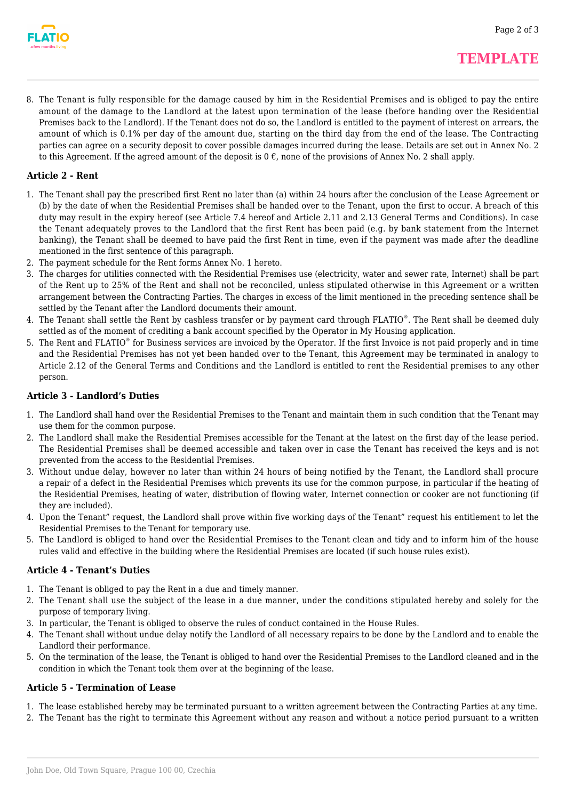

8. The Tenant is fully responsible for the damage caused by him in the Residential Premises and is obliged to pay the entire amount of the damage to the Landlord at the latest upon termination of the lease (before handing over the Residential Premises back to the Landlord). If the Tenant does not do so, the Landlord is entitled to the payment of interest on arrears, the amount of which is 0.1% per day of the amount due, starting on the third day from the end of the lease. The Contracting parties can agree on a security deposit to cover possible damages incurred during the lease. Details are set out in Annex No. 2 to this Agreement. If the agreed amount of the deposit is  $0 \in$ , none of the provisions of Annex No. 2 shall apply.

### **Article 2 - Rent**

- 1. The Tenant shall pay the prescribed first Rent no later than (a) within 24 hours after the conclusion of the Lease Agreement or (b) by the date of when the Residential Premises shall be handed over to the Tenant, upon the first to occur. A breach of this duty may result in the expiry hereof (see Article 7.4 hereof and Article 2.11 and 2.13 General Terms and Conditions). In case the Tenant adequately proves to the Landlord that the first Rent has been paid (e.g. by bank statement from the Internet banking), the Tenant shall be deemed to have paid the first Rent in time, even if the payment was made after the deadline mentioned in the first sentence of this paragraph.
- 2. The payment schedule for the Rent forms Annex No. 1 hereto.
- 3. The charges for utilities connected with the Residential Premises use (electricity, water and sewer rate, Internet) shall be part of the Rent up to 25% of the Rent and shall not be reconciled, unless stipulated otherwise in this Agreement or a written arrangement between the Contracting Parties. The charges in excess of the limit mentioned in the preceding sentence shall be settled by the Tenant after the Landlord documents their amount.
- 4. The Tenant shall settle the Rent by cashless transfer or by payment card through FLATIO®. The Rent shall be deemed duly settled as of the moment of crediting a bank account specified by the Operator in My Housing application.
- 5. The Rent and FLATIO® for Business services are invoiced by the Operator. If the first Invoice is not paid properly and in time and the Residential Premises has not yet been handed over to the Tenant, this Agreement may be terminated in analogy to Article 2.12 of the General Terms and Conditions and the Landlord is entitled to rent the Residential premises to any other person.

## **Article 3 - Landlord's Duties**

- 1. The Landlord shall hand over the Residential Premises to the Tenant and maintain them in such condition that the Tenant may use them for the common purpose.
- 2. The Landlord shall make the Residential Premises accessible for the Tenant at the latest on the first day of the lease period. The Residential Premises shall be deemed accessible and taken over in case the Tenant has received the keys and is not prevented from the access to the Residential Premises.
- 3. Without undue delay, however no later than within 24 hours of being notified by the Tenant, the Landlord shall procure a repair of a defect in the Residential Premises which prevents its use for the common purpose, in particular if the heating of the Residential Premises, heating of water, distribution of flowing water, Internet connection or cooker are not functioning (if they are included).
- 4. Upon the Tenant" request, the Landlord shall prove within five working days of the Tenant" request his entitlement to let the Residential Premises to the Tenant for temporary use.
- 5. The Landlord is obliged to hand over the Residential Premises to the Tenant clean and tidy and to inform him of the house rules valid and effective in the building where the Residential Premises are located (if such house rules exist).

### **Article 4 - Tenant's Duties**

- 1. The Tenant is obliged to pay the Rent in a due and timely manner.
- 2. The Tenant shall use the subject of the lease in a due manner, under the conditions stipulated hereby and solely for the purpose of temporary living.
- 3. In particular, the Tenant is obliged to observe the rules of conduct contained in the House Rules.
- 4. The Tenant shall without undue delay notify the Landlord of all necessary repairs to be done by the Landlord and to enable the Landlord their performance.
- 5. On the termination of the lease, the Tenant is obliged to hand over the Residential Premises to the Landlord cleaned and in the condition in which the Tenant took them over at the beginning of the lease.

### **Article 5 - Termination of Lease**

- 1. The lease established hereby may be terminated pursuant to a written agreement between the Contracting Parties at any time.
- 2. The Tenant has the right to terminate this Agreement without any reason and without a notice period pursuant to a written